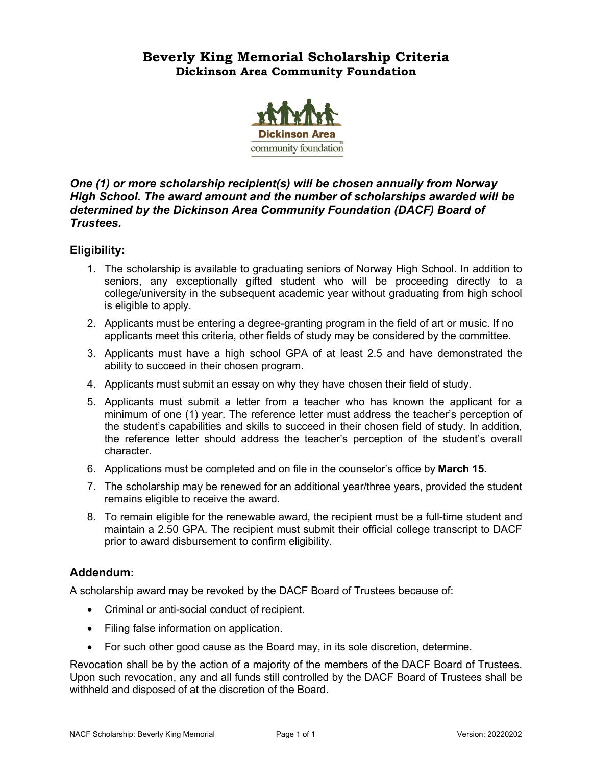## **Beverly King Memorial Scholarship Criteria Dickinson Area Community Foundation**



## *One (1) or more scholarship recipient(s) will be chosen annually from Norway High School. The award amount and the number of scholarships awarded will be determined by the Dickinson Area Community Foundation (DACF) Board of Trustees.*

## **Eligibility:**

- 1. The scholarship is available to graduating seniors of Norway High School. In addition to seniors, any exceptionally gifted student who will be proceeding directly to a college/university in the subsequent academic year without graduating from high school is eligible to apply.
- 2. Applicants must be entering a degree-granting program in the field of art or music. If no applicants meet this criteria, other fields of study may be considered by the committee.
- 3. Applicants must have a high school GPA of at least 2.5 and have demonstrated the ability to succeed in their chosen program.
- 4. Applicants must submit an essay on why they have chosen their field of study.
- 5. Applicants must submit a letter from a teacher who has known the applicant for a minimum of one (1) year. The reference letter must address the teacher's perception of the student's capabilities and skills to succeed in their chosen field of study. In addition, the reference letter should address the teacher's perception of the student's overall character.
- 6. Applications must be completed and on file in the counselor's office by **March 15.**
- 7. The scholarship may be renewed for an additional year/three years, provided the student remains eligible to receive the award.
- 8. To remain eligible for the renewable award, the recipient must be a full-time student and maintain a 2.50 GPA. The recipient must submit their official college transcript to DACF prior to award disbursement to confirm eligibility.

## **Addendum:**

A scholarship award may be revoked by the DACF Board of Trustees because of:

- Criminal or anti-social conduct of recipient.
- Filing false information on application.
- For such other good cause as the Board may, in its sole discretion, determine.

Revocation shall be by the action of a majority of the members of the DACF Board of Trustees. Upon such revocation, any and all funds still controlled by the DACF Board of Trustees shall be withheld and disposed of at the discretion of the Board.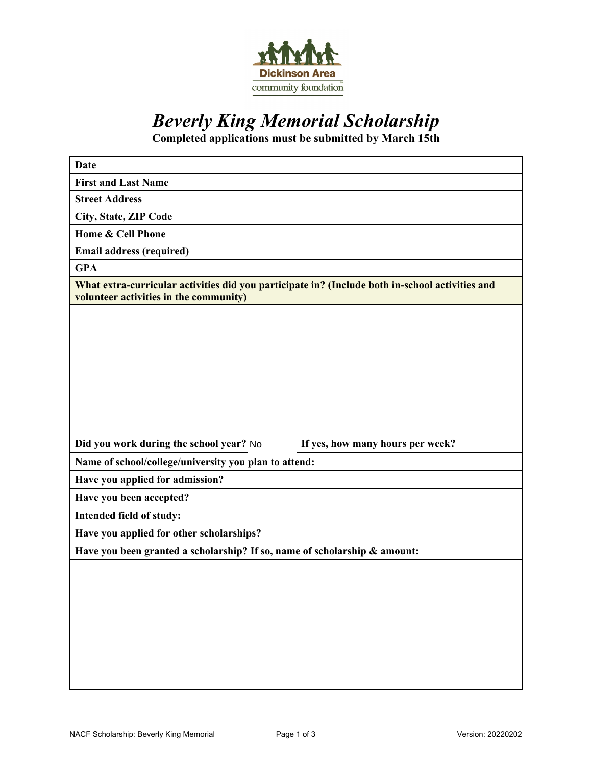

# *Beverly King Memorial Scholarship*

**Completed applications must be submitted by March 15th** 

| <b>Date</b>                                           |                                                                                                 |
|-------------------------------------------------------|-------------------------------------------------------------------------------------------------|
| <b>First and Last Name</b>                            |                                                                                                 |
| <b>Street Address</b>                                 |                                                                                                 |
| City, State, ZIP Code                                 |                                                                                                 |
| Home & Cell Phone                                     |                                                                                                 |
| <b>Email address (required)</b>                       |                                                                                                 |
| <b>GPA</b>                                            |                                                                                                 |
| volunteer activities in the community)                | What extra-curricular activities did you participate in? (Include both in-school activities and |
|                                                       |                                                                                                 |
|                                                       |                                                                                                 |
| Did you work during the school year? No               | If yes, how many hours per week?                                                                |
| Name of school/college/university you plan to attend: |                                                                                                 |
| Have you applied for admission?                       |                                                                                                 |
| Have you been accepted?                               |                                                                                                 |
| Intended field of study:                              |                                                                                                 |
| Have you applied for other scholarships?              |                                                                                                 |
|                                                       | Have you been granted a scholarship? If so, name of scholarship & amount:                       |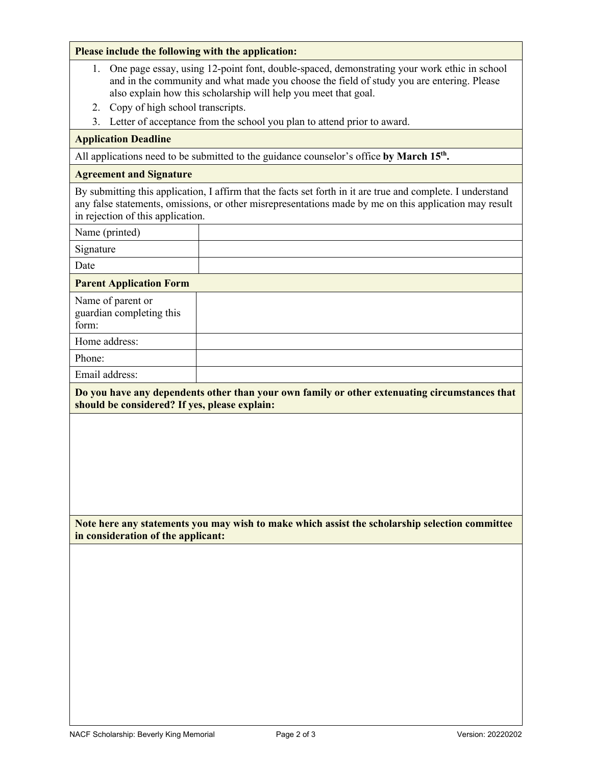### **Please include the following with the application:**

- 1. One page essay, using 12-point font, double-spaced, demonstrating your work ethic in school and in the community and what made you choose the field of study you are entering. Please also explain how this scholarship will help you meet that goal.
- 2. Copy of high school transcripts.
- 3. Letter of acceptance from the school you plan to attend prior to award.

## **Application Deadline**

All applications need to be submitted to the guidance counselor's office by March 15<sup>th</sup>.

#### **Agreement and Signature**

By submitting this application, I affirm that the facts set forth in it are true and complete. I understand any false statements, omissions, or other misrepresentations made by me on this application may result in rejection of this application.

Name (printed)

Signature

Date

#### **Parent Application Form**

| Name of parent or<br>guardian completing this<br>form: |  |
|--------------------------------------------------------|--|
| Home address:                                          |  |
| Phone:                                                 |  |
| Email address:                                         |  |

**Do you have any dependents other than your own family or other extenuating circumstances that should be considered? If yes, please explain:**

**Note here any statements you may wish to make which assist the scholarship selection committee in consideration of the applicant:**